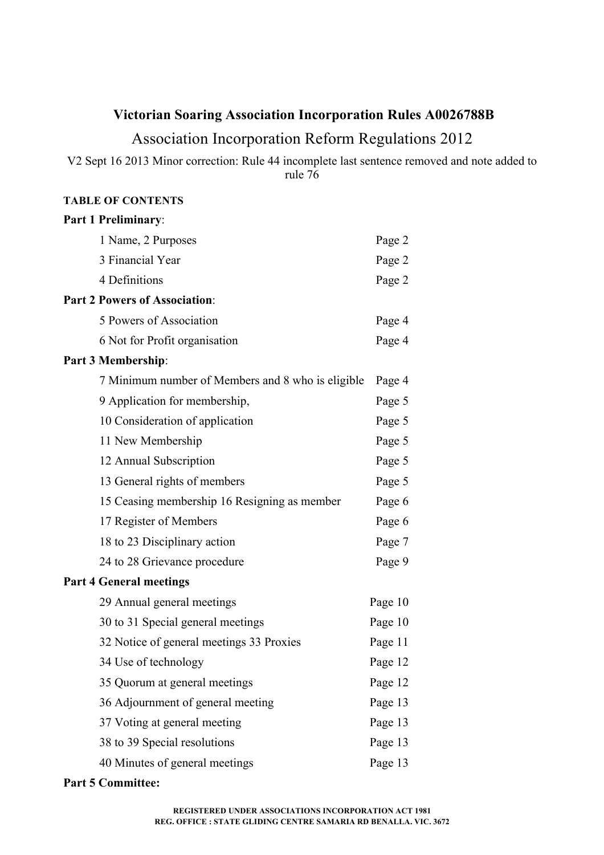# **Victorian Soaring Association Incorporation Rules A0026788B**

# Association Incorporation Reform Regulations 2012

V2 Sept 16 2013 Minor correction: Rule 44 incomplete last sentence removed and note added to rule 76

# **TABLE OF CONTENTS**

| <b>Part 1 Preliminary:</b>                        |         |
|---------------------------------------------------|---------|
| 1 Name, 2 Purposes                                | Page 2  |
| 3 Financial Year                                  | Page 2  |
| 4 Definitions                                     | Page 2  |
| <b>Part 2 Powers of Association:</b>              |         |
| 5 Powers of Association                           | Page 4  |
| 6 Not for Profit organisation                     | Page 4  |
| Part 3 Membership:                                |         |
| 7 Minimum number of Members and 8 who is eligible | Page 4  |
| 9 Application for membership,                     | Page 5  |
| 10 Consideration of application                   | Page 5  |
| 11 New Membership                                 | Page 5  |
| 12 Annual Subscription                            | Page 5  |
| 13 General rights of members                      | Page 5  |
| 15 Ceasing membership 16 Resigning as member      | Page 6  |
| 17 Register of Members                            | Page 6  |
| 18 to 23 Disciplinary action                      | Page 7  |
| 24 to 28 Grievance procedure                      | Page 9  |
| <b>Part 4 General meetings</b>                    |         |
| 29 Annual general meetings                        | Page 10 |
| 30 to 31 Special general meetings                 | Page 10 |
| 32 Notice of general meetings 33 Proxies          | Page 11 |
| 34 Use of technology                              | Page 12 |
| 35 Quorum at general meetings                     | Page 12 |
| 36 Adjournment of general meeting                 | Page 13 |
| 37 Voting at general meeting                      | Page 13 |
| 38 to 39 Special resolutions                      | Page 13 |
| 40 Minutes of general meetings                    | Page 13 |

# **Part 5 Committee:**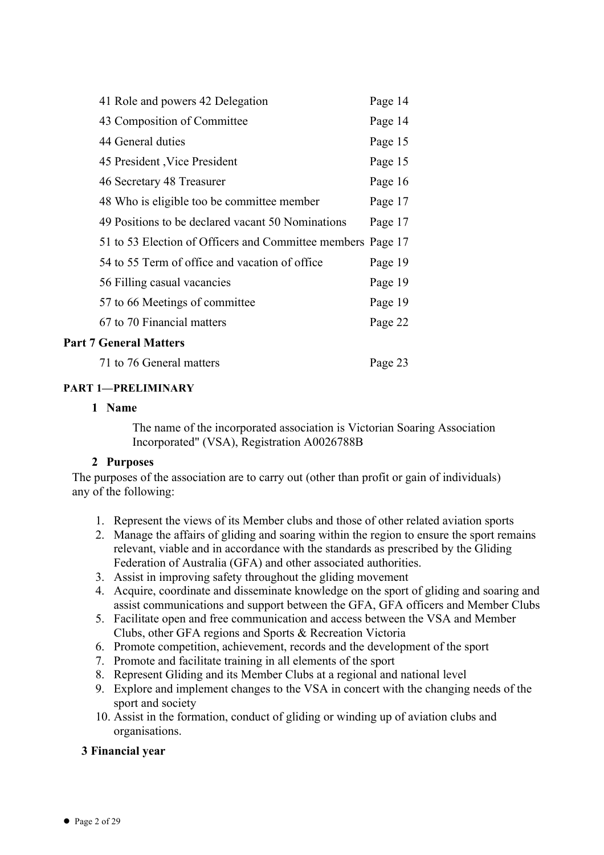| 41 Role and powers 42 Delegation                            | Page 14 |
|-------------------------------------------------------------|---------|
| 43 Composition of Committee                                 | Page 14 |
| 44 General duties                                           | Page 15 |
| 45 President , Vice President                               | Page 15 |
| 46 Secretary 48 Treasurer                                   | Page 16 |
| 48 Who is eligible too be committee member                  | Page 17 |
| 49 Positions to be declared vacant 50 Nominations           | Page 17 |
| 51 to 53 Election of Officers and Committee members Page 17 |         |
| 54 to 55 Term of office and vacation of office              | Page 19 |
| 56 Filling casual vacancies                                 | Page 19 |
| 57 to 66 Meetings of committee                              | Page 19 |
| 67 to 70 Financial matters                                  | Page 22 |
|                                                             |         |

# **Part 7 General Matters**

71 to 76 General matters Page 23

# **PART 1—PRELIMINARY**

# **1 Name**

The name of the incorporated association is Victorian Soaring Association Incorporated" (VSA), Registration A0026788B

# **2 Purposes**

The purposes of the association are to carry out (other than profit or gain of individuals) any of the following:

- 1. Represent the views of its Member clubs and those of other related aviation sports
- 2. Manage the affairs of gliding and soaring within the region to ensure the sport remains relevant, viable and in accordance with the standards as prescribed by the Gliding Federation of Australia (GFA) and other associated authorities.
- 3. Assist in improving safety throughout the gliding movement
- 4. Acquire, coordinate and disseminate knowledge on the sport of gliding and soaring and assist communications and support between the GFA, GFA officers and Member Clubs
- 5. Facilitate open and free communication and access between the VSA and Member Clubs, other GFA regions and Sports & Recreation Victoria
- 6. Promote competition, achievement, records and the development of the sport
- 7. Promote and facilitate training in all elements of the sport
- 8. Represent Gliding and its Member Clubs at a regional and national level
- 9. Explore and implement changes to the VSA in concert with the changing needs of the sport and society
- 10. Assist in the formation, conduct of gliding or winding up of aviation clubs and organisations.

# **3 Financial year**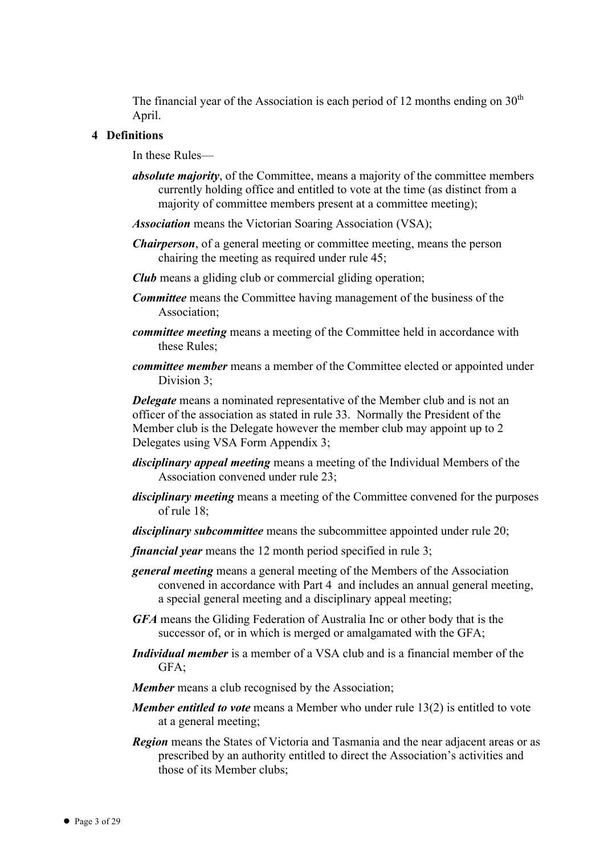The financial year of the Association is each period of 12 months ending on  $30<sup>th</sup>$ April.

#### **4 Definitions**

In these Rules—

- *absolute majority*, of the Committee, means a majority of the committee members currently holding office and entitled to vote at the time (as distinct from a majority of committee members present at a committee meeting);
- *Association* means the Victorian Soaring Association (VSA);
- *Chairperson*, of a general meeting or committee meeting, means the person chairing the meeting as required under rule 45;
- *Club* means a gliding club or commercial gliding operation;
- *Committee* means the Committee having management of the business of the Association;
- *committee meeting* means a meeting of the Committee held in accordance with these Rules;
- *committee member* means a member of the Committee elected or appointed under Division 3;

*Delegate* means a nominated representative of the Member club and is not an officer of the association as stated in rule 33. Normally the President of the Member club is the Delegate however the member club may appoint up to 2 Delegates using VSA Form Appendix 3;

- *disciplinary appeal meeting* means a meeting of the Individual Members of the Association convened under rule 23;
- *disciplinary meeting* means a meeting of the Committee convened for the purposes of rule 18;
- *disciplinary subcommittee* means the subcommittee appointed under rule 20;
- *financial year* means the 12 month period specified in rule 3;
- *general meeting* means a general meeting of the Members of the Association convened in accordance with Part 4 and includes an annual general meeting, a special general meeting and a disciplinary appeal meeting;
- *GFA* means the Gliding Federation of Australia Inc or other body that is the successor of, or in which is merged or amalgamated with the GFA;
- *Individual member* is a member of a VSA club and is a financial member of the GFA;
- *Member* means a club recognised by the Association;
- *Member entitled to vote* means a Member who under rule 13(2) is entitled to vote at a general meeting;
- *Region* means the States of Victoria and Tasmania and the near adjacent areas or as prescribed by an authority entitled to direct the Association's activities and those of its Member clubs;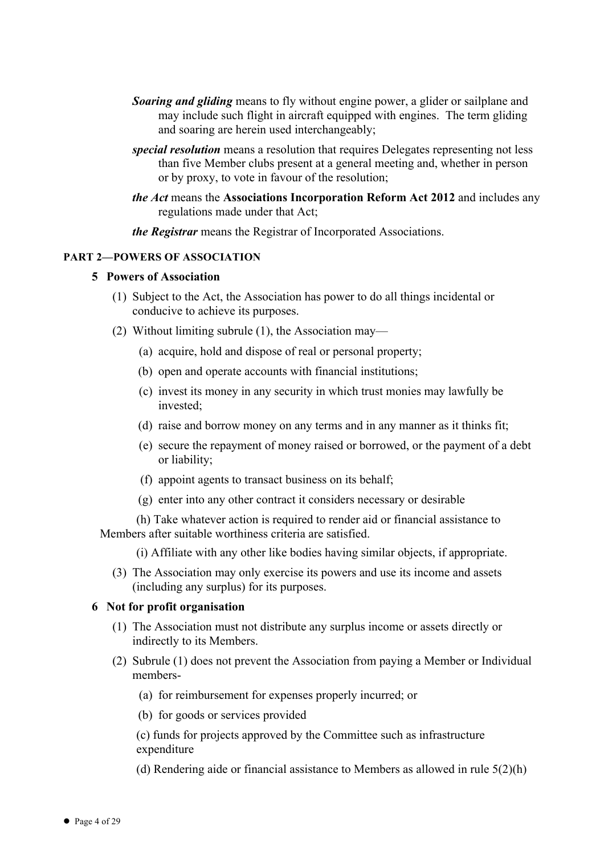- *Soaring and gliding* means to fly without engine power, a glider or sailplane and may include such flight in aircraft equipped with engines. The term gliding and soaring are herein used interchangeably;
- *special resolution* means a resolution that requires Delegates representing not less than five Member clubs present at a general meeting and, whether in person or by proxy, to vote in favour of the resolution;
- *the Act* means the **Associations Incorporation Reform Act 2012** and includes any regulations made under that Act;

*the Registrar* means the Registrar of Incorporated Associations.

#### **PART 2—POWERS OF ASSOCIATION**

#### **5 Powers of Association**

- (1) Subject to the Act, the Association has power to do all things incidental or conducive to achieve its purposes.
- (2) Without limiting subrule (1), the Association may—
	- (a) acquire, hold and dispose of real or personal property;
	- (b) open and operate accounts with financial institutions;
	- (c) invest its money in any security in which trust monies may lawfully be invested;
	- (d) raise and borrow money on any terms and in any manner as it thinks fit;
	- (e) secure the repayment of money raised or borrowed, or the payment of a debt or liability;
	- (f) appoint agents to transact business on its behalf;
	- (g) enter into any other contract it considers necessary or desirable

(h) Take whatever action is required to render aid or financial assistance to Members after suitable worthiness criteria are satisfied.

(i) Affiliate with any other like bodies having similar objects, if appropriate.

(3) The Association may only exercise its powers and use its income and assets (including any surplus) for its purposes.

#### **6 Not for profit organisation**

- (1) The Association must not distribute any surplus income or assets directly or indirectly to its Members.
- (2) Subrule (1) does not prevent the Association from paying a Member or Individual members-
	- (a) for reimbursement for expenses properly incurred; or
	- (b) for goods or services provided

(c) funds for projects approved by the Committee such as infrastructure expenditure

(d) Rendering aide or financial assistance to Members as allowed in rule 5(2)(h)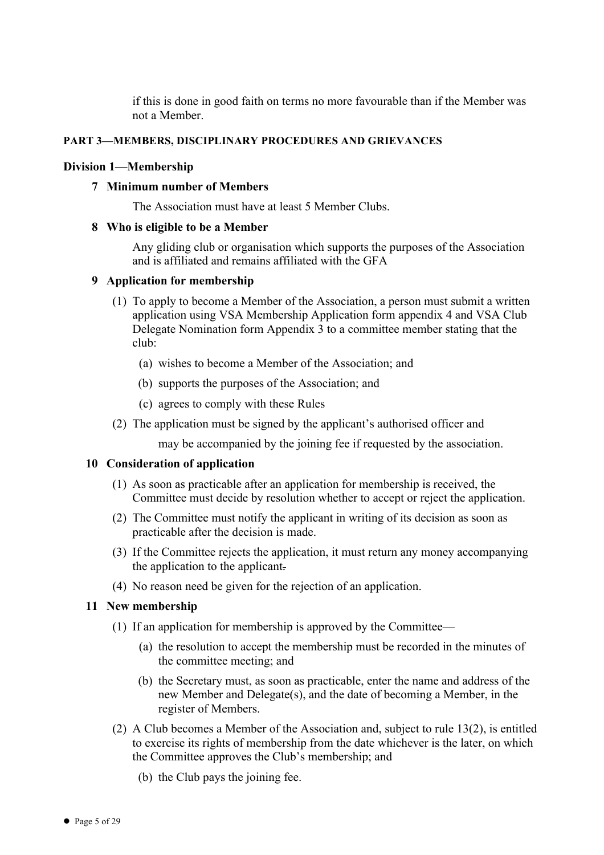if this is done in good faith on terms no more favourable than if the Member was not a Member.

# **PART 3—MEMBERS, DISCIPLINARY PROCEDURES AND GRIEVANCES**

#### **Division 1—Membership**

#### **7 Minimum number of Members**

The Association must have at least 5 Member Clubs.

#### **8 Who is eligible to be a Member**

Any gliding club or organisation which supports the purposes of the Association and is affiliated and remains affiliated with the GFA

#### **9 Application for membership**

- (1) To apply to become a Member of the Association, a person must submit a written application using VSA Membership Application form appendix 4 and VSA Club Delegate Nomination form Appendix 3 to a committee member stating that the club:
	- (a) wishes to become a Member of the Association; and
	- (b) supports the purposes of the Association; and
	- (c) agrees to comply with these Rules
- (2) The application must be signed by the applicant's authorised officer and

may be accompanied by the joining fee if requested by the association.

# **10 Consideration of application**

- (1) As soon as practicable after an application for membership is received, the Committee must decide by resolution whether to accept or reject the application.
- (2) The Committee must notify the applicant in writing of its decision as soon as practicable after the decision is made.
- (3) If the Committee rejects the application, it must return any money accompanying the application to the applicant.
- (4) No reason need be given for the rejection of an application.

# **11 New membership**

- (1) If an application for membership is approved by the Committee—
	- (a) the resolution to accept the membership must be recorded in the minutes of the committee meeting; and
	- (b) the Secretary must, as soon as practicable, enter the name and address of the new Member and Delegate(s), and the date of becoming a Member, in the register of Members.
- (2) A Club becomes a Member of the Association and, subject to rule 13(2), is entitled to exercise its rights of membership from the date whichever is the later, on which the Committee approves the Club's membership; and
	- (b) the Club pays the joining fee.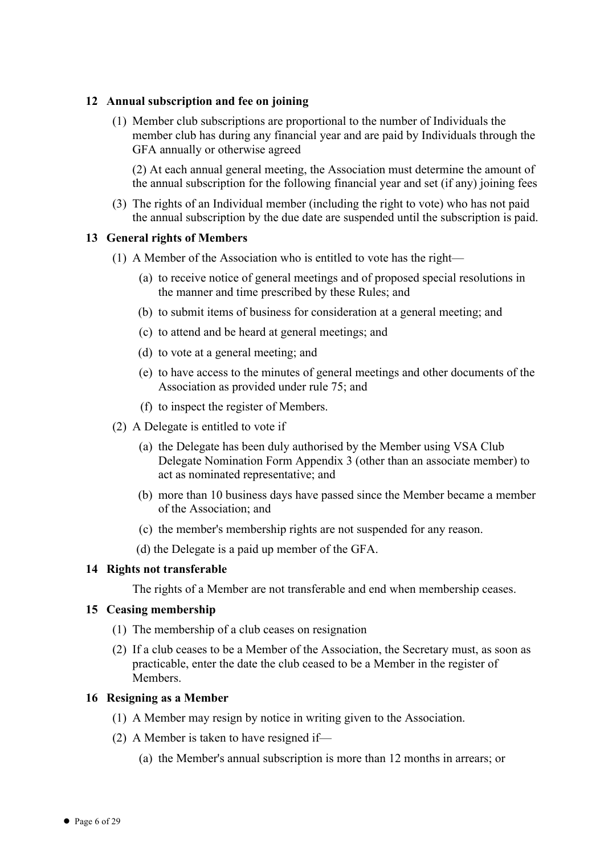# **12 Annual subscription and fee on joining**

(1) Member club subscriptions are proportional to the number of Individuals the member club has during any financial year and are paid by Individuals through the GFA annually or otherwise agreed

(2) At each annual general meeting, the Association must determine the amount of the annual subscription for the following financial year and set (if any) joining fees

(3) The rights of an Individual member (including the right to vote) who has not paid the annual subscription by the due date are suspended until the subscription is paid.

# **13 General rights of Members**

- (1) A Member of the Association who is entitled to vote has the right—
	- (a) to receive notice of general meetings and of proposed special resolutions in the manner and time prescribed by these Rules; and
	- (b) to submit items of business for consideration at a general meeting; and
	- (c) to attend and be heard at general meetings; and
	- (d) to vote at a general meeting; and
	- (e) to have access to the minutes of general meetings and other documents of the Association as provided under rule 75; and
	- (f) to inspect the register of Members.
- (2) A Delegate is entitled to vote if
	- (a) the Delegate has been duly authorised by the Member using VSA Club Delegate Nomination Form Appendix 3 (other than an associate member) to act as nominated representative; and
	- (b) more than 10 business days have passed since the Member became a member of the Association; and
	- (c) the member's membership rights are not suspended for any reason.
	- (d) the Delegate is a paid up member of the GFA.

# **14 Rights not transferable**

The rights of a Member are not transferable and end when membership ceases.

# **15 Ceasing membership**

- (1) The membership of a club ceases on resignation
- (2) If a club ceases to be a Member of the Association, the Secretary must, as soon as practicable, enter the date the club ceased to be a Member in the register of **Members**

# **16 Resigning as a Member**

- (1) A Member may resign by notice in writing given to the Association.
- (2) A Member is taken to have resigned if—
	- (a) the Member's annual subscription is more than 12 months in arrears; or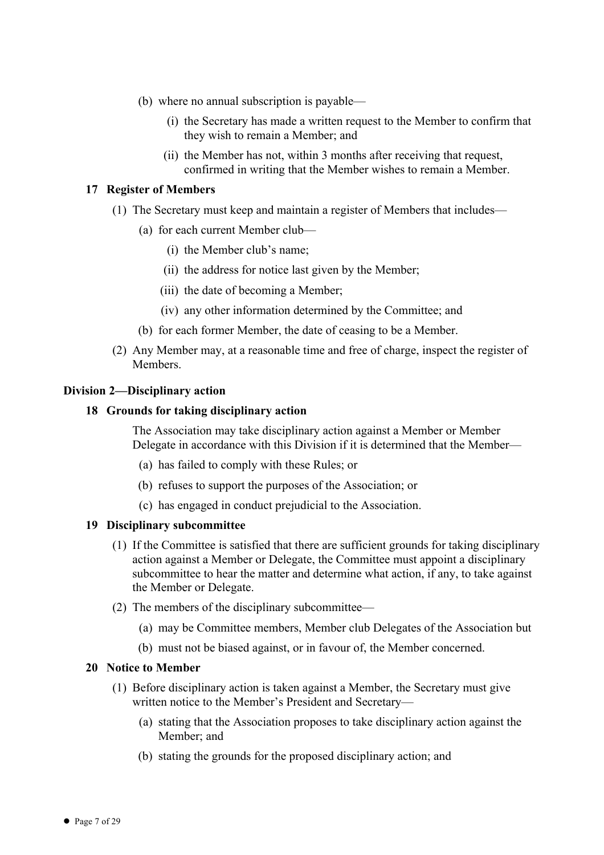- (b) where no annual subscription is payable—
	- (i) the Secretary has made a written request to the Member to confirm that they wish to remain a Member; and
	- (ii) the Member has not, within 3 months after receiving that request, confirmed in writing that the Member wishes to remain a Member.

# **17 Register of Members**

- (1) The Secretary must keep and maintain a register of Members that includes—
	- (a) for each current Member club—
		- (i) the Member club's name;
		- (ii) the address for notice last given by the Member;
		- (iii) the date of becoming a Member;
		- (iv) any other information determined by the Committee; and
	- (b) for each former Member, the date of ceasing to be a Member.
- (2) Any Member may, at a reasonable time and free of charge, inspect the register of **Members**

#### **Division 2—Disciplinary action**

#### **18 Grounds for taking disciplinary action**

The Association may take disciplinary action against a Member or Member Delegate in accordance with this Division if it is determined that the Member—

- (a) has failed to comply with these Rules; or
- (b) refuses to support the purposes of the Association; or
- (c) has engaged in conduct prejudicial to the Association.

#### **19 Disciplinary subcommittee**

- (1) If the Committee is satisfied that there are sufficient grounds for taking disciplinary action against a Member or Delegate, the Committee must appoint a disciplinary subcommittee to hear the matter and determine what action, if any, to take against the Member or Delegate.
- (2) The members of the disciplinary subcommittee—
	- (a) may be Committee members, Member club Delegates of the Association but
	- (b) must not be biased against, or in favour of, the Member concerned.

# **20 Notice to Member**

- (1) Before disciplinary action is taken against a Member, the Secretary must give written notice to the Member's President and Secretary—
	- (a) stating that the Association proposes to take disciplinary action against the Member; and
	- (b) stating the grounds for the proposed disciplinary action; and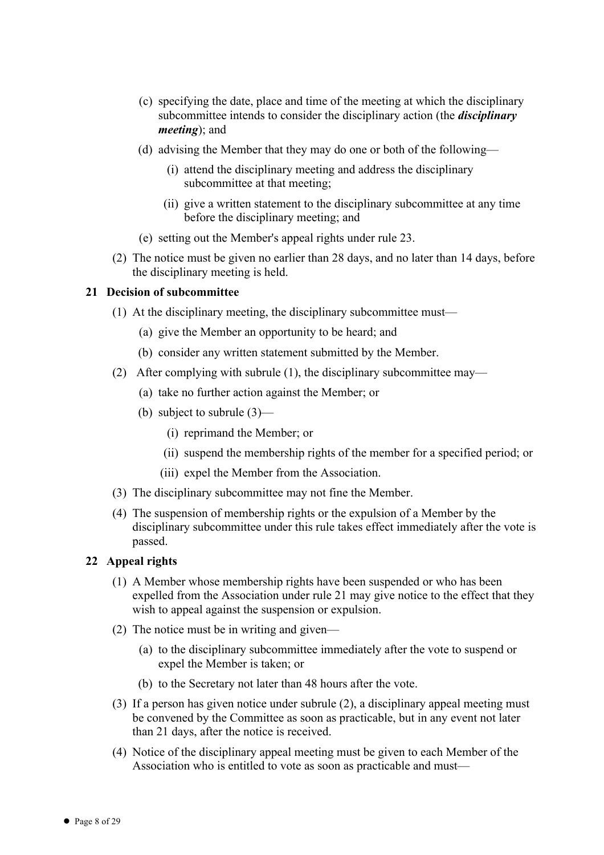- (c) specifying the date, place and time of the meeting at which the disciplinary subcommittee intends to consider the disciplinary action (the *disciplinary meeting*); and
- (d) advising the Member that they may do one or both of the following—
	- (i) attend the disciplinary meeting and address the disciplinary subcommittee at that meeting;
	- (ii) give a written statement to the disciplinary subcommittee at any time before the disciplinary meeting; and
- (e) setting out the Member's appeal rights under rule 23.
- (2) The notice must be given no earlier than 28 days, and no later than 14 days, before the disciplinary meeting is held.

#### **21 Decision of subcommittee**

- (1) At the disciplinary meeting, the disciplinary subcommittee must—
	- (a) give the Member an opportunity to be heard; and
	- (b) consider any written statement submitted by the Member.
- (2) After complying with subrule (1), the disciplinary subcommittee may—
	- (a) take no further action against the Member; or
	- (b) subject to subrule (3)—
		- (i) reprimand the Member; or
		- (ii) suspend the membership rights of the member for a specified period; or
		- (iii) expel the Member from the Association.
- (3) The disciplinary subcommittee may not fine the Member.
- (4) The suspension of membership rights or the expulsion of a Member by the disciplinary subcommittee under this rule takes effect immediately after the vote is passed.

#### **22 Appeal rights**

- (1) A Member whose membership rights have been suspended or who has been expelled from the Association under rule 21 may give notice to the effect that they wish to appeal against the suspension or expulsion.
- (2) The notice must be in writing and given—
	- (a) to the disciplinary subcommittee immediately after the vote to suspend or expel the Member is taken; or
	- (b) to the Secretary not later than 48 hours after the vote.
- (3) If a person has given notice under subrule (2), a disciplinary appeal meeting must be convened by the Committee as soon as practicable, but in any event not later than 21 days, after the notice is received.
- (4) Notice of the disciplinary appeal meeting must be given to each Member of the Association who is entitled to vote as soon as practicable and must—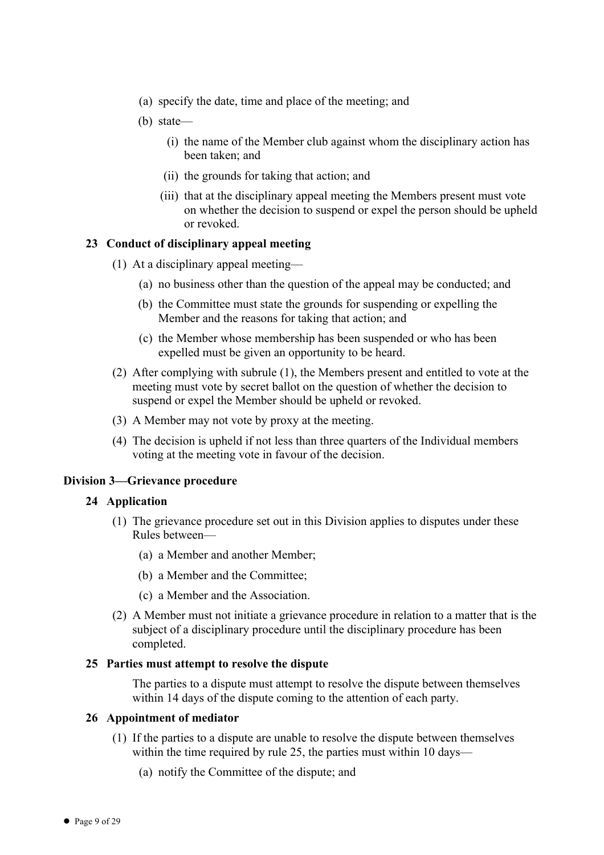- (a) specify the date, time and place of the meeting; and
- (b) state—
	- (i) the name of the Member club against whom the disciplinary action has been taken; and
	- (ii) the grounds for taking that action; and
	- (iii) that at the disciplinary appeal meeting the Members present must vote on whether the decision to suspend or expel the person should be upheld or revoked.

#### **23 Conduct of disciplinary appeal meeting**

- (1) At a disciplinary appeal meeting—
	- (a) no business other than the question of the appeal may be conducted; and
	- (b) the Committee must state the grounds for suspending or expelling the Member and the reasons for taking that action; and
	- (c) the Member whose membership has been suspended or who has been expelled must be given an opportunity to be heard.
- (2) After complying with subrule (1), the Members present and entitled to vote at the meeting must vote by secret ballot on the question of whether the decision to suspend or expel the Member should be upheld or revoked.
- (3) A Member may not vote by proxy at the meeting.
- (4) The decision is upheld if not less than three quarters of the Individual members voting at the meeting vote in favour of the decision.

#### **Division 3—Grievance procedure**

#### **24 Application**

- (1) The grievance procedure set out in this Division applies to disputes under these Rules between—
	- (a) a Member and another Member;
	- (b) a Member and the Committee;
	- (c) a Member and the Association.
- (2) A Member must not initiate a grievance procedure in relation to a matter that is the subject of a disciplinary procedure until the disciplinary procedure has been completed.

#### **25 Parties must attempt to resolve the dispute**

The parties to a dispute must attempt to resolve the dispute between themselves within 14 days of the dispute coming to the attention of each party.

#### **26 Appointment of mediator**

- (1) If the parties to a dispute are unable to resolve the dispute between themselves within the time required by rule 25, the parties must within 10 days—
	- (a) notify the Committee of the dispute; and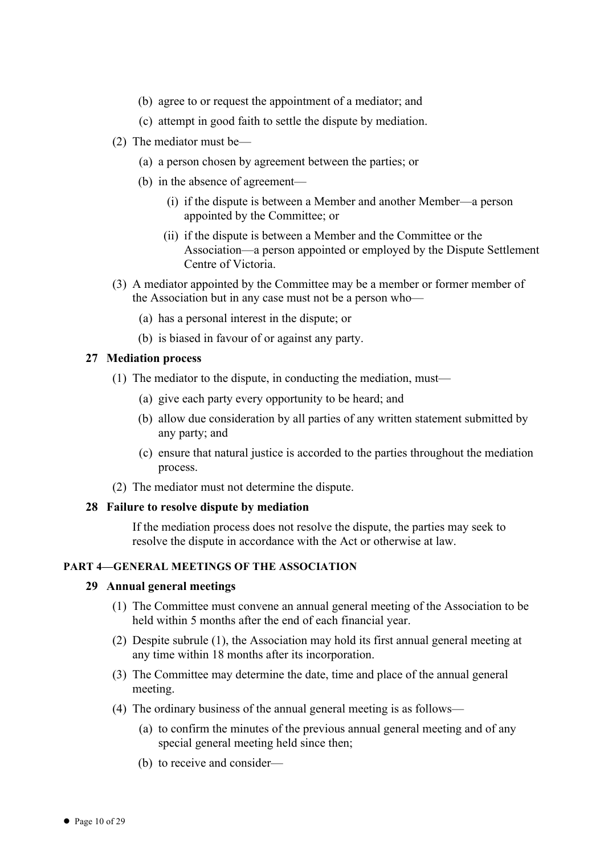- (b) agree to or request the appointment of a mediator; and
- (c) attempt in good faith to settle the dispute by mediation.
- (2) The mediator must be—
	- (a) a person chosen by agreement between the parties; or
	- (b) in the absence of agreement—
		- (i) if the dispute is between a Member and another Member—a person appointed by the Committee; or
		- (ii) if the dispute is between a Member and the Committee or the Association—a person appointed or employed by the Dispute Settlement Centre of Victoria.
- (3) A mediator appointed by the Committee may be a member or former member of the Association but in any case must not be a person who—
	- (a) has a personal interest in the dispute; or
	- (b) is biased in favour of or against any party.

#### **27 Mediation process**

- (1) The mediator to the dispute, in conducting the mediation, must—
	- (a) give each party every opportunity to be heard; and
	- (b) allow due consideration by all parties of any written statement submitted by any party; and
	- (c) ensure that natural justice is accorded to the parties throughout the mediation process.
- (2) The mediator must not determine the dispute.

#### **28 Failure to resolve dispute by mediation**

If the mediation process does not resolve the dispute, the parties may seek to resolve the dispute in accordance with the Act or otherwise at law.

# **PART 4—GENERAL MEETINGS OF THE ASSOCIATION**

#### **29 Annual general meetings**

- (1) The Committee must convene an annual general meeting of the Association to be held within 5 months after the end of each financial year.
- (2) Despite subrule (1), the Association may hold its first annual general meeting at any time within 18 months after its incorporation.
- (3) The Committee may determine the date, time and place of the annual general meeting.
- (4) The ordinary business of the annual general meeting is as follows—
	- (a) to confirm the minutes of the previous annual general meeting and of any special general meeting held since then;
	- (b) to receive and consider—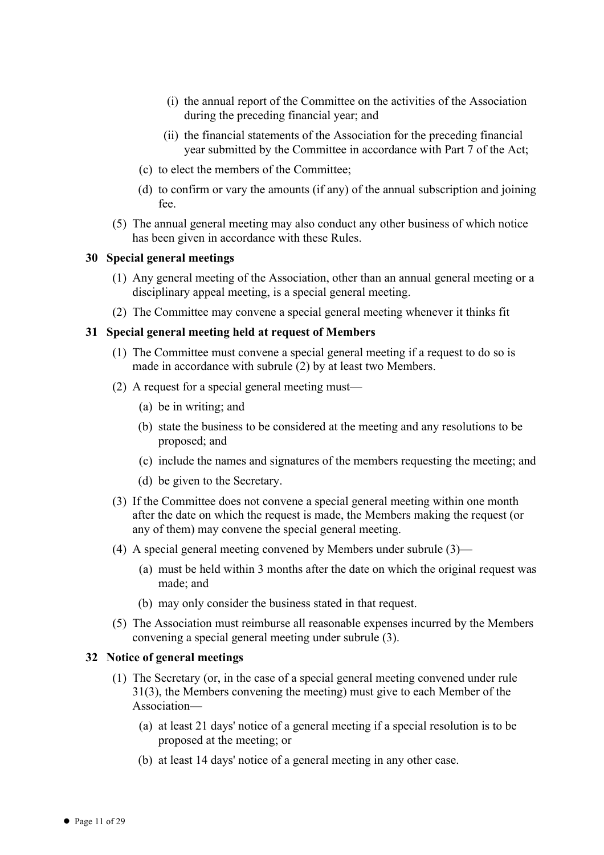- (i) the annual report of the Committee on the activities of the Association during the preceding financial year; and
- (ii) the financial statements of the Association for the preceding financial year submitted by the Committee in accordance with Part 7 of the Act;
- (c) to elect the members of the Committee;
- (d) to confirm or vary the amounts (if any) of the annual subscription and joining fee.
- (5) The annual general meeting may also conduct any other business of which notice has been given in accordance with these Rules.

#### **30 Special general meetings**

- (1) Any general meeting of the Association, other than an annual general meeting or a disciplinary appeal meeting, is a special general meeting.
- (2) The Committee may convene a special general meeting whenever it thinks fit

#### **31 Special general meeting held at request of Members**

- (1) The Committee must convene a special general meeting if a request to do so is made in accordance with subrule (2) by at least two Members.
- (2) A request for a special general meeting must—
	- (a) be in writing; and
	- (b) state the business to be considered at the meeting and any resolutions to be proposed; and
	- (c) include the names and signatures of the members requesting the meeting; and
	- (d) be given to the Secretary.
- (3) If the Committee does not convene a special general meeting within one month after the date on which the request is made, the Members making the request (or any of them) may convene the special general meeting.
- (4) A special general meeting convened by Members under subrule (3)—
	- (a) must be held within 3 months after the date on which the original request was made; and
	- (b) may only consider the business stated in that request.
- (5) The Association must reimburse all reasonable expenses incurred by the Members convening a special general meeting under subrule (3).

# **32 Notice of general meetings**

- (1) The Secretary (or, in the case of a special general meeting convened under rule 31(3), the Members convening the meeting) must give to each Member of the Association—
	- (a) at least 21 days' notice of a general meeting if a special resolution is to be proposed at the meeting; or
	- (b) at least 14 days' notice of a general meeting in any other case.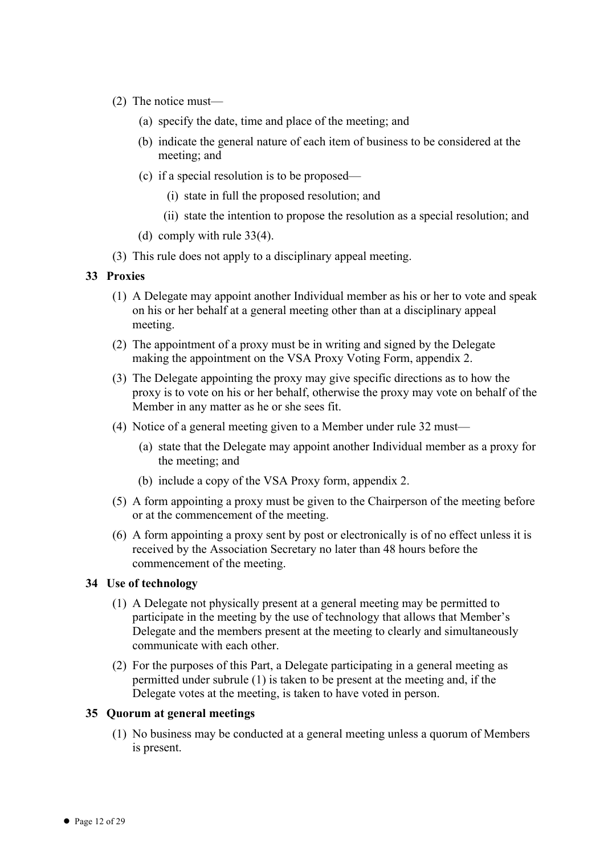- (2) The notice must—
	- (a) specify the date, time and place of the meeting; and
	- (b) indicate the general nature of each item of business to be considered at the meeting; and
	- (c) if a special resolution is to be proposed—
		- (i) state in full the proposed resolution; and
		- (ii) state the intention to propose the resolution as a special resolution; and
	- (d) comply with rule 33(4).
- (3) This rule does not apply to a disciplinary appeal meeting.

# **33 Proxies**

- (1) A Delegate may appoint another Individual member as his or her to vote and speak on his or her behalf at a general meeting other than at a disciplinary appeal meeting.
- (2) The appointment of a proxy must be in writing and signed by the Delegate making the appointment on the VSA Proxy Voting Form, appendix 2.
- (3) The Delegate appointing the proxy may give specific directions as to how the proxy is to vote on his or her behalf, otherwise the proxy may vote on behalf of the Member in any matter as he or she sees fit.
- (4) Notice of a general meeting given to a Member under rule 32 must—
	- (a) state that the Delegate may appoint another Individual member as a proxy for the meeting; and
	- (b) include a copy of the VSA Proxy form, appendix 2.
- (5) A form appointing a proxy must be given to the Chairperson of the meeting before or at the commencement of the meeting.
- (6) A form appointing a proxy sent by post or electronically is of no effect unless it is received by the Association Secretary no later than 48 hours before the commencement of the meeting.

# **34 Use of technology**

- (1) A Delegate not physically present at a general meeting may be permitted to participate in the meeting by the use of technology that allows that Member's Delegate and the members present at the meeting to clearly and simultaneously communicate with each other.
- (2) For the purposes of this Part, a Delegate participating in a general meeting as permitted under subrule (1) is taken to be present at the meeting and, if the Delegate votes at the meeting, is taken to have voted in person.

# **35 Quorum at general meetings**

(1) No business may be conducted at a general meeting unless a quorum of Members is present.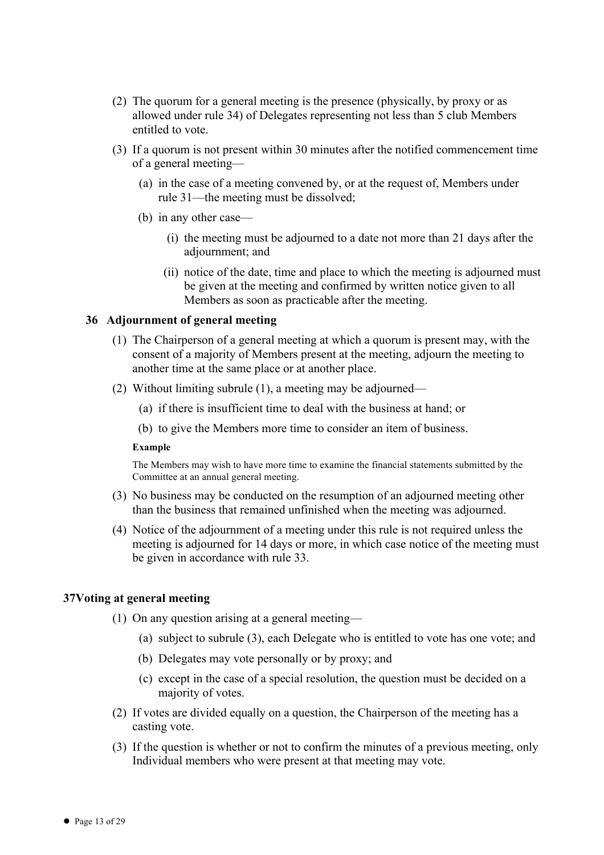- (2) The quorum for a general meeting is the presence (physically, by proxy or as allowed under rule 34) of Delegates representing not less than 5 club Members entitled to vote.
- (3) If a quorum is not present within 30 minutes after the notified commencement time of a general meeting—
	- (a) in the case of a meeting convened by, or at the request of, Members under rule 31—the meeting must be dissolved;
	- (b) in any other case—
		- (i) the meeting must be adjourned to a date not more than 21 days after the adjournment; and
		- (ii) notice of the date, time and place to which the meeting is adjourned must be given at the meeting and confirmed by written notice given to all Members as soon as practicable after the meeting.

#### **36 Adjournment of general meeting**

- (1) The Chairperson of a general meeting at which a quorum is present may, with the consent of a majority of Members present at the meeting, adjourn the meeting to another time at the same place or at another place.
- (2) Without limiting subrule (1), a meeting may be adjourned—
	- (a) if there is insufficient time to deal with the business at hand; or
	- (b) to give the Members more time to consider an item of business.

#### **Example**

The Members may wish to have more time to examine the financial statements submitted by the Committee at an annual general meeting.

- (3) No business may be conducted on the resumption of an adjourned meeting other than the business that remained unfinished when the meeting was adjourned.
- (4) Notice of the adjournment of a meeting under this rule is not required unless the meeting is adjourned for 14 days or more, in which case notice of the meeting must be given in accordance with rule 33.

#### **37Voting at general meeting**

- (1) On any question arising at a general meeting—
	- (a) subject to subrule (3), each Delegate who is entitled to vote has one vote; and
	- (b) Delegates may vote personally or by proxy; and
	- (c) except in the case of a special resolution, the question must be decided on a majority of votes.
- (2) If votes are divided equally on a question, the Chairperson of the meeting has a casting vote.
- (3) If the question is whether or not to confirm the minutes of a previous meeting, only Individual members who were present at that meeting may vote.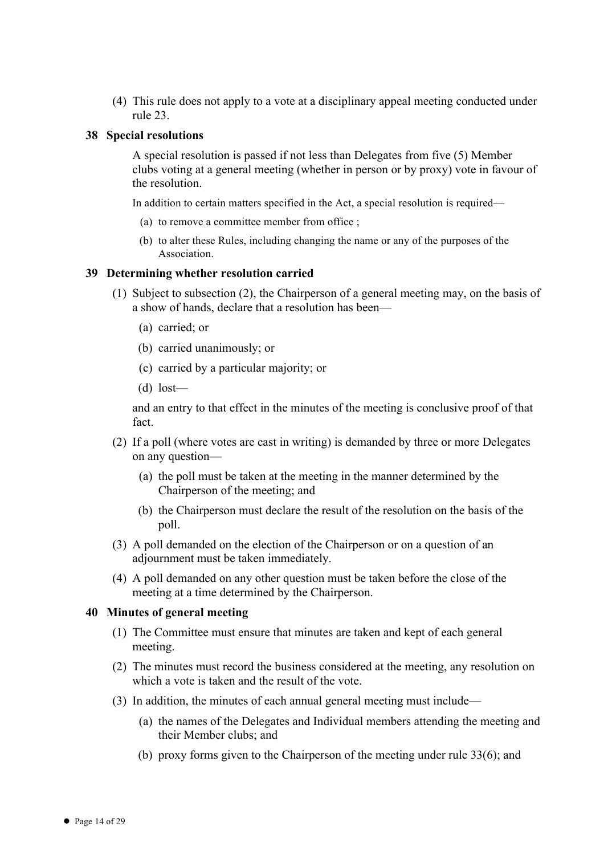(4) This rule does not apply to a vote at a disciplinary appeal meeting conducted under rule 23.

#### **38 Special resolutions**

A special resolution is passed if not less than Delegates from five (5) Member clubs voting at a general meeting (whether in person or by proxy) vote in favour of the resolution.

In addition to certain matters specified in the Act, a special resolution is required—

- (a) to remove a committee member from office ;
- (b) to alter these Rules, including changing the name or any of the purposes of the **Association**

#### **39 Determining whether resolution carried**

- (1) Subject to subsection (2), the Chairperson of a general meeting may, on the basis of a show of hands, declare that a resolution has been—
	- (a) carried; or
	- (b) carried unanimously; or
	- (c) carried by a particular majority; or
	- $(d)$  lost—

and an entry to that effect in the minutes of the meeting is conclusive proof of that fact.

- (2) If a poll (where votes are cast in writing) is demanded by three or more Delegates on any question—
	- (a) the poll must be taken at the meeting in the manner determined by the Chairperson of the meeting; and
	- (b) the Chairperson must declare the result of the resolution on the basis of the poll.
- (3) A poll demanded on the election of the Chairperson or on a question of an adjournment must be taken immediately.
- (4) A poll demanded on any other question must be taken before the close of the meeting at a time determined by the Chairperson.

#### **40 Minutes of general meeting**

- (1) The Committee must ensure that minutes are taken and kept of each general meeting.
- (2) The minutes must record the business considered at the meeting, any resolution on which a vote is taken and the result of the vote.
- (3) In addition, the minutes of each annual general meeting must include—
	- (a) the names of the Delegates and Individual members attending the meeting and their Member clubs; and
	- (b) proxy forms given to the Chairperson of the meeting under rule 33(6); and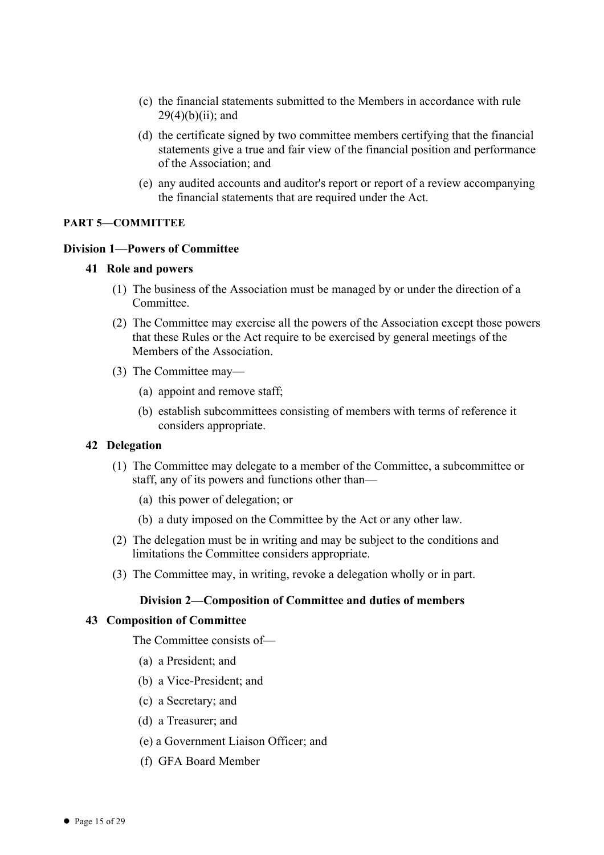- (c) the financial statements submitted to the Members in accordance with rule  $29(4)(b)(ii)$ ; and
- (d) the certificate signed by two committee members certifying that the financial statements give a true and fair view of the financial position and performance of the Association; and
- (e) any audited accounts and auditor's report or report of a review accompanying the financial statements that are required under the Act.

# **PART 5—COMMITTEE**

# **Division 1—Powers of Committee**

# **41 Role and powers**

- (1) The business of the Association must be managed by or under the direction of a **Committee**
- (2) The Committee may exercise all the powers of the Association except those powers that these Rules or the Act require to be exercised by general meetings of the Members of the Association.
- (3) The Committee may—
	- (a) appoint and remove staff;
	- (b) establish subcommittees consisting of members with terms of reference it considers appropriate.

# **42 Delegation**

- (1) The Committee may delegate to a member of the Committee, a subcommittee or staff, any of its powers and functions other than—
	- (a) this power of delegation; or
	- (b) a duty imposed on the Committee by the Act or any other law.
- (2) The delegation must be in writing and may be subject to the conditions and limitations the Committee considers appropriate.
- (3) The Committee may, in writing, revoke a delegation wholly or in part.

# **Division 2—Composition of Committee and duties of members**

# **43 Composition of Committee**

The Committee consists of—

- (a) a President; and
- (b) a Vice-President; and
- (c) a Secretary; and
- (d) a Treasurer; and
- (e) a Government Liaison Officer; and
- (f) GFA Board Member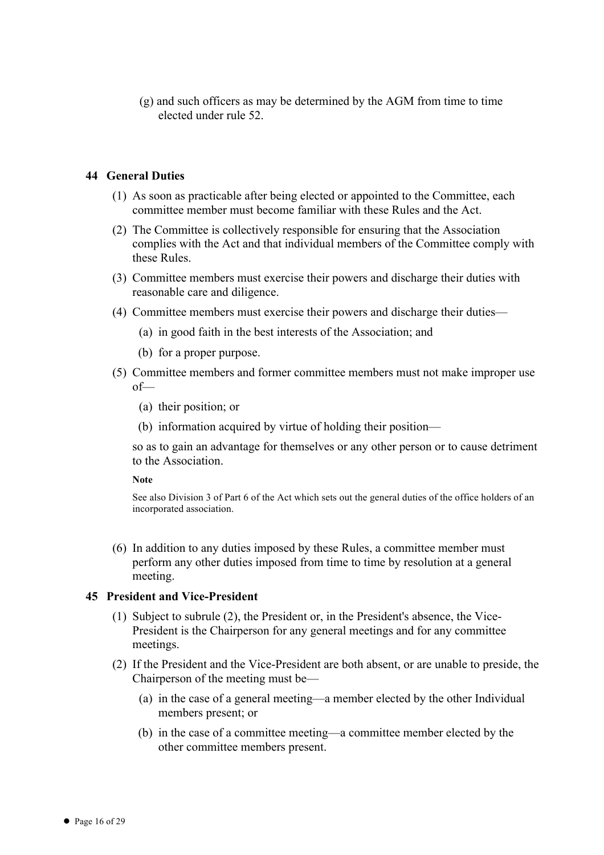(g) and such officers as may be determined by the AGM from time to time elected under rule 52.

# **44 General Duties**

- (1) As soon as practicable after being elected or appointed to the Committee, each committee member must become familiar with these Rules and the Act.
- (2) The Committee is collectively responsible for ensuring that the Association complies with the Act and that individual members of the Committee comply with these Rules.
- (3) Committee members must exercise their powers and discharge their duties with reasonable care and diligence.
- (4) Committee members must exercise their powers and discharge their duties—
	- (a) in good faith in the best interests of the Association; and
	- (b) for a proper purpose.
- (5) Committee members and former committee members must not make improper use of—
	- (a) their position; or
	- (b) information acquired by virtue of holding their position—

so as to gain an advantage for themselves or any other person or to cause detriment to the Association.

**Note**

See also Division 3 of Part 6 of the Act which sets out the general duties of the office holders of an incorporated association.

(6) In addition to any duties imposed by these Rules, a committee member must perform any other duties imposed from time to time by resolution at a general meeting.

# **45 President and Vice-President**

- (1) Subject to subrule (2), the President or, in the President's absence, the Vice-President is the Chairperson for any general meetings and for any committee meetings.
- (2) If the President and the Vice-President are both absent, or are unable to preside, the Chairperson of the meeting must be—
	- (a) in the case of a general meeting—a member elected by the other Individual members present; or
	- (b) in the case of a committee meeting—a committee member elected by the other committee members present.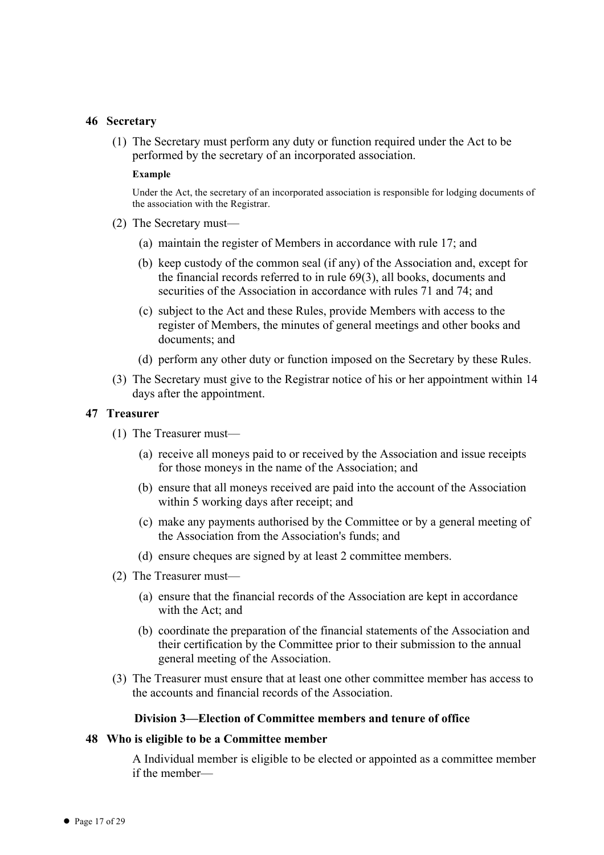#### **46 Secretary**

(1) The Secretary must perform any duty or function required under the Act to be performed by the secretary of an incorporated association.

#### **Example**

Under the Act, the secretary of an incorporated association is responsible for lodging documents of the association with the Registrar.

- (2) The Secretary must—
	- (a) maintain the register of Members in accordance with rule 17; and
	- (b) keep custody of the common seal (if any) of the Association and, except for the financial records referred to in rule 69(3), all books, documents and securities of the Association in accordance with rules 71 and 74; and
	- (c) subject to the Act and these Rules, provide Members with access to the register of Members, the minutes of general meetings and other books and documents; and
	- (d) perform any other duty or function imposed on the Secretary by these Rules.
- (3) The Secretary must give to the Registrar notice of his or her appointment within 14 days after the appointment.

#### **47 Treasurer**

- (1) The Treasurer must—
	- (a) receive all moneys paid to or received by the Association and issue receipts for those moneys in the name of the Association; and
	- (b) ensure that all moneys received are paid into the account of the Association within 5 working days after receipt; and
	- (c) make any payments authorised by the Committee or by a general meeting of the Association from the Association's funds; and
	- (d) ensure cheques are signed by at least 2 committee members.
- (2) The Treasurer must—
	- (a) ensure that the financial records of the Association are kept in accordance with the Act; and
	- (b) coordinate the preparation of the financial statements of the Association and their certification by the Committee prior to their submission to the annual general meeting of the Association.
- (3) The Treasurer must ensure that at least one other committee member has access to the accounts and financial records of the Association.

#### **Division 3—Election of Committee members and tenure of office**

#### **48 Who is eligible to be a Committee member**

A Individual member is eligible to be elected or appointed as a committee member if the member—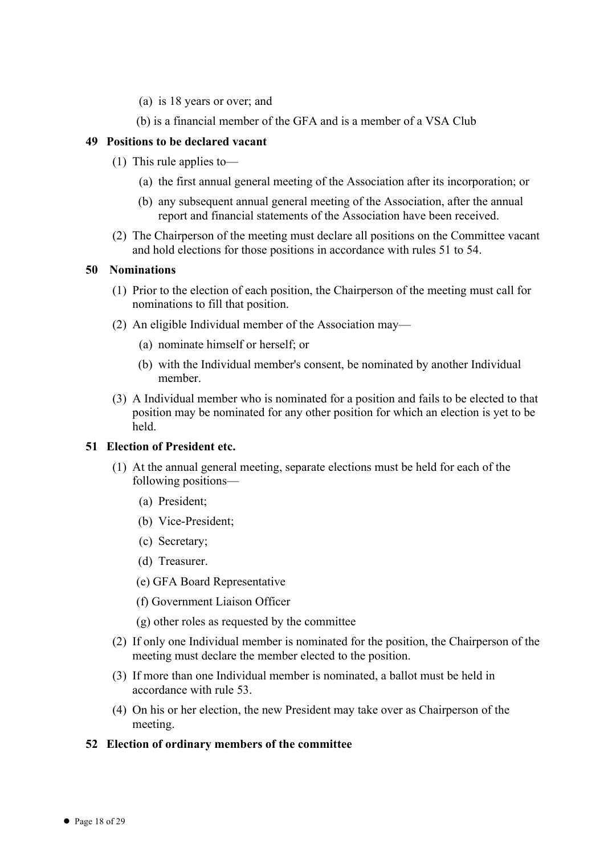- (a) is 18 years or over; and
- (b) is a financial member of the GFA and is a member of a VSA Club

# **49 Positions to be declared vacant**

- (1) This rule applies to—
	- (a) the first annual general meeting of the Association after its incorporation; or
	- (b) any subsequent annual general meeting of the Association, after the annual report and financial statements of the Association have been received.
- (2) The Chairperson of the meeting must declare all positions on the Committee vacant and hold elections for those positions in accordance with rules 51 to 54.

#### **50 Nominations**

- (1) Prior to the election of each position, the Chairperson of the meeting must call for nominations to fill that position.
- (2) An eligible Individual member of the Association may—
	- (a) nominate himself or herself; or
	- (b) with the Individual member's consent, be nominated by another Individual member.
- (3) A Individual member who is nominated for a position and fails to be elected to that position may be nominated for any other position for which an election is yet to be held.

# **51 Election of President etc.**

- (1) At the annual general meeting, separate elections must be held for each of the following positions—
	- (a) President;
	- (b) Vice-President;
	- (c) Secretary;
	- (d) Treasurer.
	- (e) GFA Board Representative
	- (f) Government Liaison Officer
	- (g) other roles as requested by the committee
- (2) If only one Individual member is nominated for the position, the Chairperson of the meeting must declare the member elected to the position.
- (3) If more than one Individual member is nominated, a ballot must be held in accordance with rule 53.
- (4) On his or her election, the new President may take over as Chairperson of the meeting.

# **52 Election of ordinary members of the committee**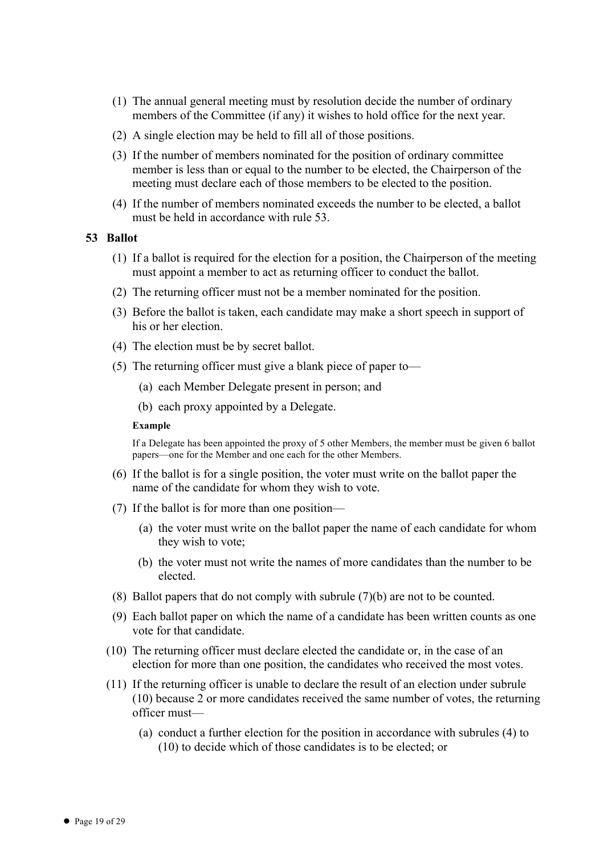- (1) The annual general meeting must by resolution decide the number of ordinary members of the Committee (if any) it wishes to hold office for the next year.
- (2) A single election may be held to fill all of those positions.
- (3) If the number of members nominated for the position of ordinary committee member is less than or equal to the number to be elected, the Chairperson of the meeting must declare each of those members to be elected to the position.
- (4) If the number of members nominated exceeds the number to be elected, a ballot must be held in accordance with rule 53.

#### **53 Ballot**

- (1) If a ballot is required for the election for a position, the Chairperson of the meeting must appoint a member to act as returning officer to conduct the ballot.
- (2) The returning officer must not be a member nominated for the position.
- (3) Before the ballot is taken, each candidate may make a short speech in support of his or her election.
- (4) The election must be by secret ballot.
- (5) The returning officer must give a blank piece of paper to—
	- (a) each Member Delegate present in person; and
	- (b) each proxy appointed by a Delegate.

#### **Example**

If a Delegate has been appointed the proxy of 5 other Members, the member must be given 6 ballot papers—one for the Member and one each for the other Members.

- (6) If the ballot is for a single position, the voter must write on the ballot paper the name of the candidate for whom they wish to vote.
- (7) If the ballot is for more than one position—
	- (a) the voter must write on the ballot paper the name of each candidate for whom they wish to vote;
	- (b) the voter must not write the names of more candidates than the number to be elected.
- (8) Ballot papers that do not comply with subrule (7)(b) are not to be counted.
- (9) Each ballot paper on which the name of a candidate has been written counts as one vote for that candidate.
- (10) The returning officer must declare elected the candidate or, in the case of an election for more than one position, the candidates who received the most votes.
- (11) If the returning officer is unable to declare the result of an election under subrule (10) because 2 or more candidates received the same number of votes, the returning officer must—
	- (a) conduct a further election for the position in accordance with subrules (4) to (10) to decide which of those candidates is to be elected; or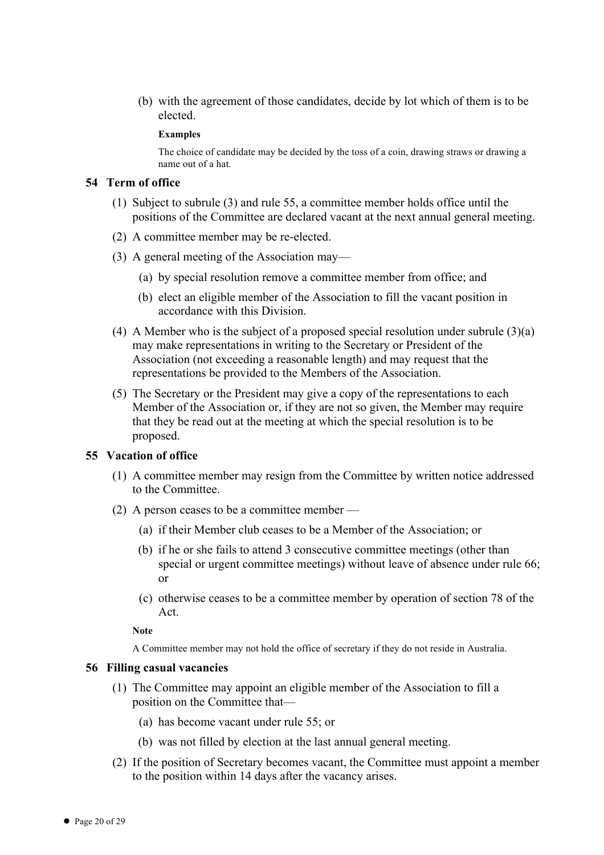(b) with the agreement of those candidates, decide by lot which of them is to be elected.

#### **Examples**

The choice of candidate may be decided by the toss of a coin, drawing straws or drawing a name out of a hat.

#### **54 Term of office**

- (1) Subject to subrule (3) and rule 55, a committee member holds office until the positions of the Committee are declared vacant at the next annual general meeting.
- (2) A committee member may be re-elected.
- (3) A general meeting of the Association may—
	- (a) by special resolution remove a committee member from office; and
	- (b) elect an eligible member of the Association to fill the vacant position in accordance with this Division.
- (4) A Member who is the subject of a proposed special resolution under subrule (3)(a) may make representations in writing to the Secretary or President of the Association (not exceeding a reasonable length) and may request that the representations be provided to the Members of the Association.
- (5) The Secretary or the President may give a copy of the representations to each Member of the Association or, if they are not so given, the Member may require that they be read out at the meeting at which the special resolution is to be proposed.

#### **55 Vacation of office**

- (1) A committee member may resign from the Committee by written notice addressed to the Committee.
- (2) A person ceases to be a committee member
	- (a) if their Member club ceases to be a Member of the Association; or
	- (b) if he or she fails to attend 3 consecutive committee meetings (other than special or urgent committee meetings) without leave of absence under rule 66; or
	- (c) otherwise ceases to be a committee member by operation of section 78 of the Act.

#### **Note**

A Committee member may not hold the office of secretary if they do not reside in Australia.

#### **56 Filling casual vacancies**

- (1) The Committee may appoint an eligible member of the Association to fill a position on the Committee that—
	- (a) has become vacant under rule 55; or
	- (b) was not filled by election at the last annual general meeting.
- (2) If the position of Secretary becomes vacant, the Committee must appoint a member to the position within 14 days after the vacancy arises.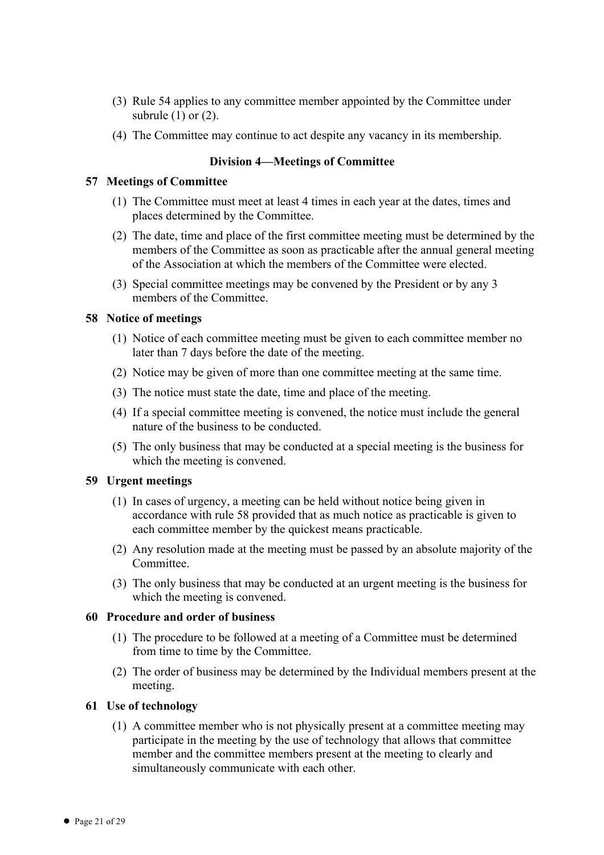- (3) Rule 54 applies to any committee member appointed by the Committee under subrule  $(1)$  or  $(2)$ .
- (4) The Committee may continue to act despite any vacancy in its membership.

# **Division 4—Meetings of Committee**

#### **57 Meetings of Committee**

- (1) The Committee must meet at least 4 times in each year at the dates, times and places determined by the Committee.
- (2) The date, time and place of the first committee meeting must be determined by the members of the Committee as soon as practicable after the annual general meeting of the Association at which the members of the Committee were elected.
- (3) Special committee meetings may be convened by the President or by any 3 members of the Committee.

#### **58 Notice of meetings**

- (1) Notice of each committee meeting must be given to each committee member no later than 7 days before the date of the meeting.
- (2) Notice may be given of more than one committee meeting at the same time.
- (3) The notice must state the date, time and place of the meeting.
- (4) If a special committee meeting is convened, the notice must include the general nature of the business to be conducted.
- (5) The only business that may be conducted at a special meeting is the business for which the meeting is convened.

# **59 Urgent meetings**

- (1) In cases of urgency, a meeting can be held without notice being given in accordance with rule 58 provided that as much notice as practicable is given to each committee member by the quickest means practicable.
- (2) Any resolution made at the meeting must be passed by an absolute majority of the Committee.
- (3) The only business that may be conducted at an urgent meeting is the business for which the meeting is convened.

# **60 Procedure and order of business**

- (1) The procedure to be followed at a meeting of a Committee must be determined from time to time by the Committee.
- (2) The order of business may be determined by the Individual members present at the meeting.

#### **61 Use of technology**

(1) A committee member who is not physically present at a committee meeting may participate in the meeting by the use of technology that allows that committee member and the committee members present at the meeting to clearly and simultaneously communicate with each other.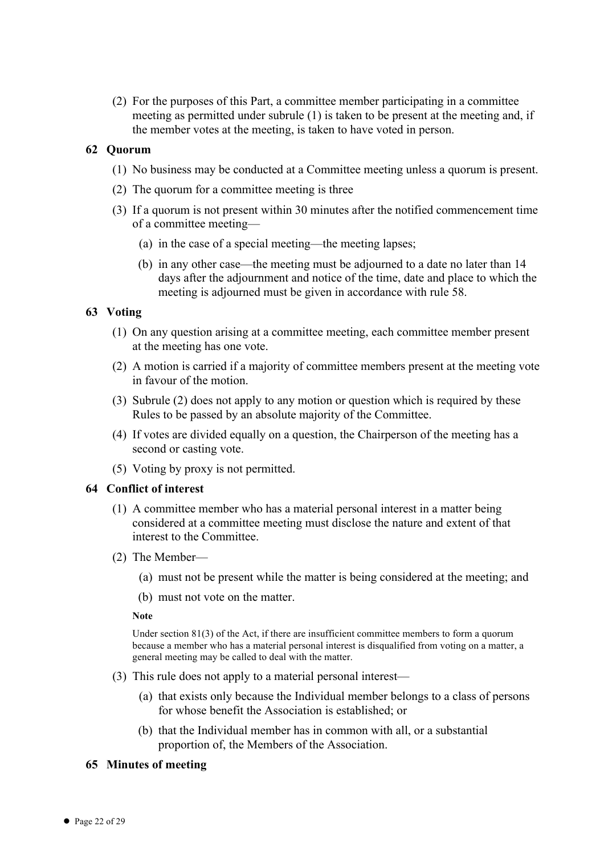(2) For the purposes of this Part, a committee member participating in a committee meeting as permitted under subrule (1) is taken to be present at the meeting and, if the member votes at the meeting, is taken to have voted in person.

# **62 Quorum**

- (1) No business may be conducted at a Committee meeting unless a quorum is present.
- (2) The quorum for a committee meeting is three
- (3) If a quorum is not present within 30 minutes after the notified commencement time of a committee meeting—
	- (a) in the case of a special meeting—the meeting lapses;
	- (b) in any other case—the meeting must be adjourned to a date no later than 14 days after the adjournment and notice of the time, date and place to which the meeting is adjourned must be given in accordance with rule 58.

# **63 Voting**

- (1) On any question arising at a committee meeting, each committee member present at the meeting has one vote.
- (2) A motion is carried if a majority of committee members present at the meeting vote in favour of the motion.
- (3) Subrule (2) does not apply to any motion or question which is required by these Rules to be passed by an absolute majority of the Committee.
- (4) If votes are divided equally on a question, the Chairperson of the meeting has a second or casting vote.
- (5) Voting by proxy is not permitted.

# **64 Conflict of interest**

- (1) A committee member who has a material personal interest in a matter being considered at a committee meeting must disclose the nature and extent of that interest to the Committee.
- (2) The Member—
	- (a) must not be present while the matter is being considered at the meeting; and
	- (b) must not vote on the matter.

**Note**

Under section 81(3) of the Act, if there are insufficient committee members to form a quorum because a member who has a material personal interest is disqualified from voting on a matter, a general meeting may be called to deal with the matter.

- (3) This rule does not apply to a material personal interest—
	- (a) that exists only because the Individual member belongs to a class of persons for whose benefit the Association is established; or
	- (b) that the Individual member has in common with all, or a substantial proportion of, the Members of the Association.

# **65 Minutes of meeting**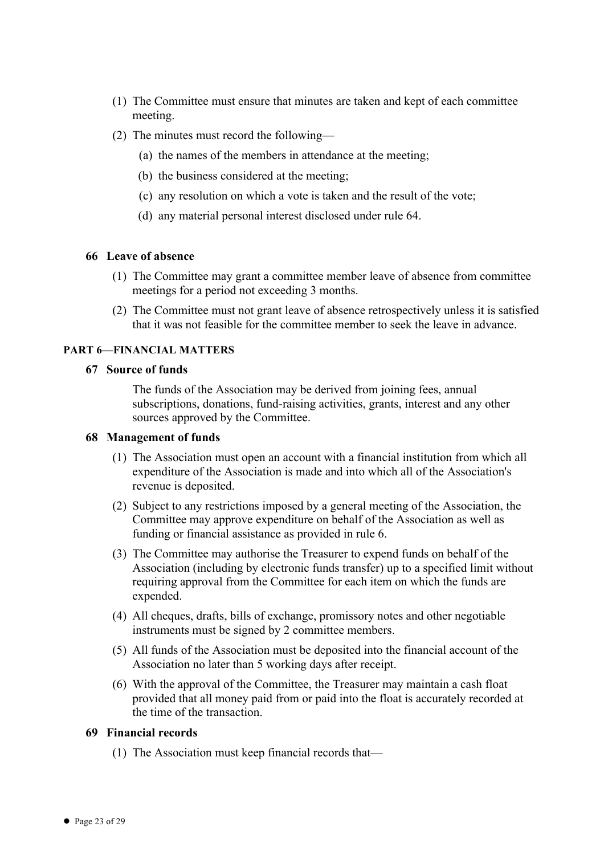- (1) The Committee must ensure that minutes are taken and kept of each committee meeting.
- (2) The minutes must record the following—
	- (a) the names of the members in attendance at the meeting;
	- (b) the business considered at the meeting;
	- (c) any resolution on which a vote is taken and the result of the vote;
	- (d) any material personal interest disclosed under rule 64.

# **66 Leave of absence**

- (1) The Committee may grant a committee member leave of absence from committee meetings for a period not exceeding 3 months.
- (2) The Committee must not grant leave of absence retrospectively unless it is satisfied that it was not feasible for the committee member to seek the leave in advance.

# **PART 6—FINANCIAL MATTERS**

# **67 Source of funds**

The funds of the Association may be derived from joining fees, annual subscriptions, donations, fund-raising activities, grants, interest and any other sources approved by the Committee.

# **68 Management of funds**

- (1) The Association must open an account with a financial institution from which all expenditure of the Association is made and into which all of the Association's revenue is deposited.
- (2) Subject to any restrictions imposed by a general meeting of the Association, the Committee may approve expenditure on behalf of the Association as well as funding or financial assistance as provided in rule 6.
- (3) The Committee may authorise the Treasurer to expend funds on behalf of the Association (including by electronic funds transfer) up to a specified limit without requiring approval from the Committee for each item on which the funds are expended.
- (4) All cheques, drafts, bills of exchange, promissory notes and other negotiable instruments must be signed by 2 committee members.
- (5) All funds of the Association must be deposited into the financial account of the Association no later than 5 working days after receipt.
- (6) With the approval of the Committee, the Treasurer may maintain a cash float provided that all money paid from or paid into the float is accurately recorded at the time of the transaction.

# **69 Financial records**

(1) The Association must keep financial records that—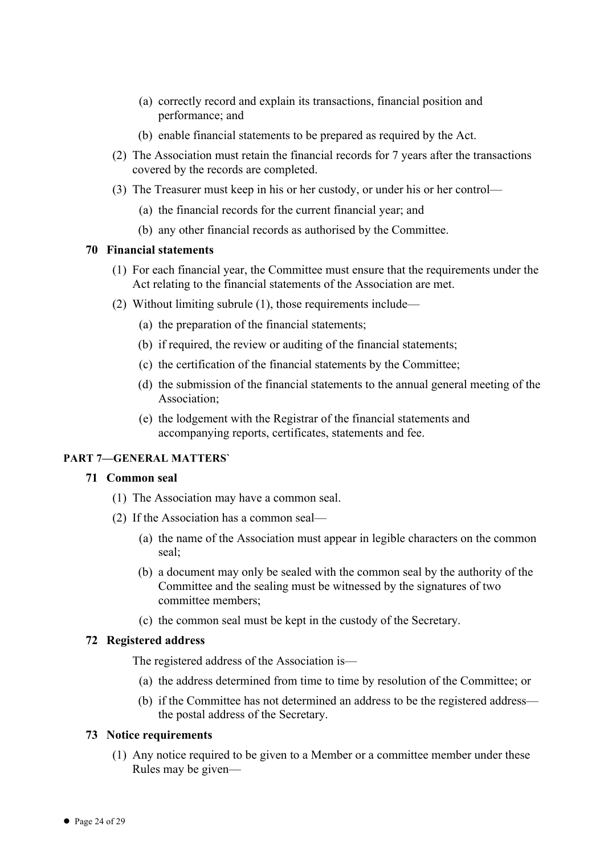- (a) correctly record and explain its transactions, financial position and performance; and
- (b) enable financial statements to be prepared as required by the Act.
- (2) The Association must retain the financial records for 7 years after the transactions covered by the records are completed.
- (3) The Treasurer must keep in his or her custody, or under his or her control—
	- (a) the financial records for the current financial year; and
	- (b) any other financial records as authorised by the Committee.

# **70 Financial statements**

- (1) For each financial year, the Committee must ensure that the requirements under the Act relating to the financial statements of the Association are met.
- (2) Without limiting subrule (1), those requirements include—
	- (a) the preparation of the financial statements;
	- (b) if required, the review or auditing of the financial statements;
	- (c) the certification of the financial statements by the Committee;
	- (d) the submission of the financial statements to the annual general meeting of the Association;
	- (e) the lodgement with the Registrar of the financial statements and accompanying reports, certificates, statements and fee.

#### **PART 7—GENERAL MATTERS`**

#### **71 Common seal**

- (1) The Association may have a common seal.
- (2) If the Association has a common seal—
	- (a) the name of the Association must appear in legible characters on the common seal;
	- (b) a document may only be sealed with the common seal by the authority of the Committee and the sealing must be witnessed by the signatures of two committee members;
	- (c) the common seal must be kept in the custody of the Secretary.

# **72 Registered address**

The registered address of the Association is—

- (a) the address determined from time to time by resolution of the Committee; or
- (b) if the Committee has not determined an address to be the registered address the postal address of the Secretary.

#### **73 Notice requirements**

(1) Any notice required to be given to a Member or a committee member under these Rules may be given—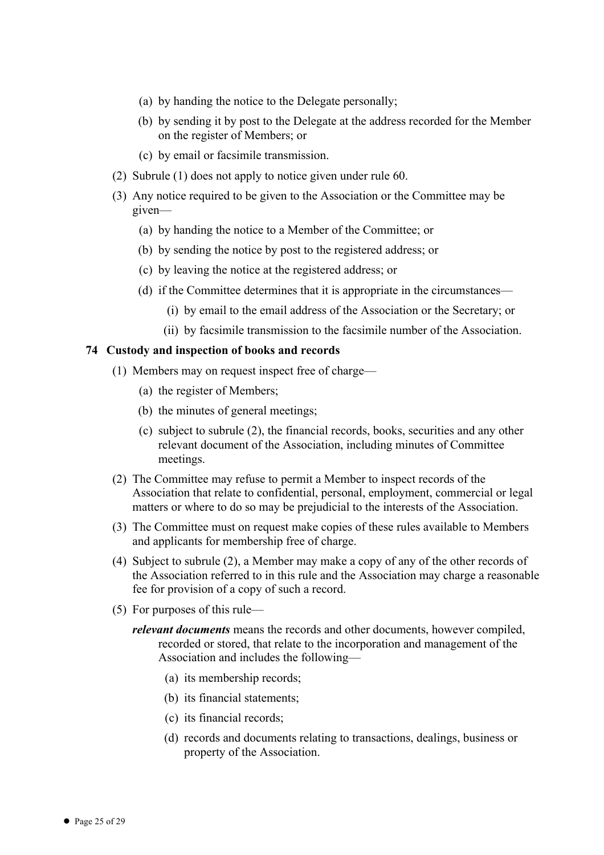- (a) by handing the notice to the Delegate personally;
- (b) by sending it by post to the Delegate at the address recorded for the Member on the register of Members; or
- (c) by email or facsimile transmission.
- (2) Subrule (1) does not apply to notice given under rule 60.
- (3) Any notice required to be given to the Association or the Committee may be given—
	- (a) by handing the notice to a Member of the Committee; or
	- (b) by sending the notice by post to the registered address; or
	- (c) by leaving the notice at the registered address; or
	- (d) if the Committee determines that it is appropriate in the circumstances—
		- (i) by email to the email address of the Association or the Secretary; or
		- (ii) by facsimile transmission to the facsimile number of the Association.

#### **74 Custody and inspection of books and records**

- (1) Members may on request inspect free of charge—
	- (a) the register of Members;
	- (b) the minutes of general meetings;
	- (c) subject to subrule (2), the financial records, books, securities and any other relevant document of the Association, including minutes of Committee meetings.
- (2) The Committee may refuse to permit a Member to inspect records of the Association that relate to confidential, personal, employment, commercial or legal matters or where to do so may be prejudicial to the interests of the Association.
- (3) The Committee must on request make copies of these rules available to Members and applicants for membership free of charge.
- (4) Subject to subrule (2), a Member may make a copy of any of the other records of the Association referred to in this rule and the Association may charge a reasonable fee for provision of a copy of such a record.
- (5) For purposes of this rule
	- *relevant documents* means the records and other documents, however compiled, recorded or stored, that relate to the incorporation and management of the Association and includes the following—
		- (a) its membership records;
		- (b) its financial statements;
		- (c) its financial records;
		- (d) records and documents relating to transactions, dealings, business or property of the Association.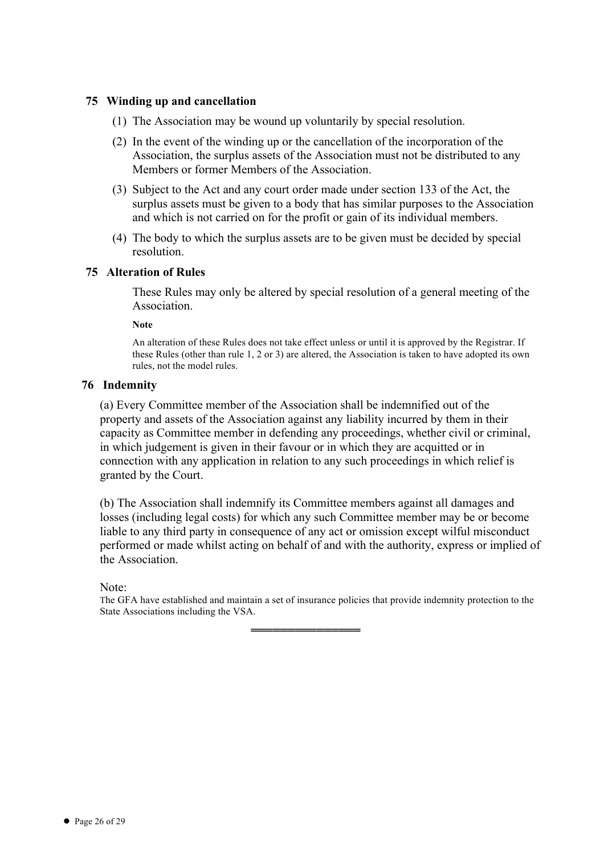# **75 Winding up and cancellation**

- (1) The Association may be wound up voluntarily by special resolution.
- (2) In the event of the winding up or the cancellation of the incorporation of the Association, the surplus assets of the Association must not be distributed to any Members or former Members of the Association.
- (3) Subject to the Act and any court order made under section 133 of the Act, the surplus assets must be given to a body that has similar purposes to the Association and which is not carried on for the profit or gain of its individual members.
- (4) The body to which the surplus assets are to be given must be decided by special resolution.

# **75 Alteration of Rules**

These Rules may only be altered by special resolution of a general meeting of the Association.

**Note**

An alteration of these Rules does not take effect unless or until it is approved by the Registrar. If these Rules (other than rule 1, 2 or 3) are altered, the Association is taken to have adopted its own rules, not the model rules.

# **76 Indemnity**

(a) Every Committee member of the Association shall be indemnified out of the property and assets of the Association against any liability incurred by them in their capacity as Committee member in defending any proceedings, whether civil or criminal, in which judgement is given in their favour or in which they are acquitted or in connection with any application in relation to any such proceedings in which relief is granted by the Court.

(b) The Association shall indemnify its Committee members against all damages and losses (including legal costs) for which any such Committee member may be or become liable to any third party in consequence of any act or omission except wilful misconduct performed or made whilst acting on behalf of and with the authority, express or implied of the Association.

Note:

The GFA have established and maintain a set of insurance policies that provide indemnity protection to the State Associations including the VSA.

═══════════════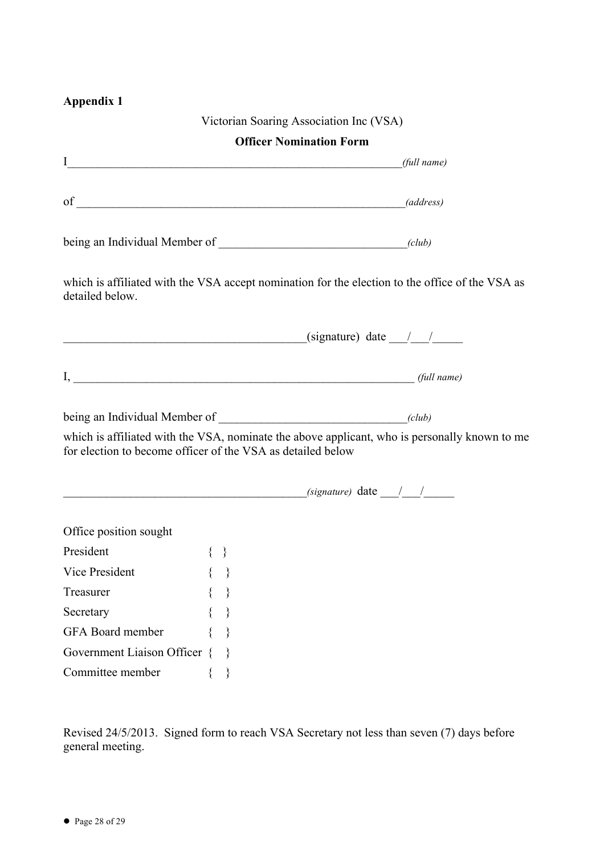# **Appendix 1**

|                                                                                                                                                              |             | Victorian Soaring Association Inc (VSA)                            |  |
|--------------------------------------------------------------------------------------------------------------------------------------------------------------|-------------|--------------------------------------------------------------------|--|
|                                                                                                                                                              |             | <b>Officer Nomination Form</b>                                     |  |
| $I$ (full name)                                                                                                                                              |             |                                                                    |  |
| $of _______ (address)$                                                                                                                                       |             |                                                                    |  |
|                                                                                                                                                              |             |                                                                    |  |
| which is affiliated with the VSA accept nomination for the election to the office of the VSA as<br>detailed below.                                           |             |                                                                    |  |
|                                                                                                                                                              |             | $\frac{1}{\text{sigma}}$ (signature) date $\frac{1}{\text{sigma}}$ |  |
| $I,$ (full name)                                                                                                                                             |             |                                                                    |  |
|                                                                                                                                                              |             |                                                                    |  |
| which is affiliated with the VSA, nominate the above applicant, who is personally known to me<br>for election to become officer of the VSA as detailed below |             |                                                                    |  |
|                                                                                                                                                              |             | $(signature)$ date $\_\_\_\_\_\_\_\_\_\_\_\_\_\_\_\_\_\_\_$        |  |
| Office position sought                                                                                                                                       |             |                                                                    |  |
| President                                                                                                                                                    | $\{\quad\}$ |                                                                    |  |
| Vice President $\{ \}$                                                                                                                                       |             |                                                                    |  |
| Treasurer                                                                                                                                                    |             |                                                                    |  |
| Secretary                                                                                                                                                    | $\}$        |                                                                    |  |
| <b>GFA</b> Board member                                                                                                                                      |             |                                                                    |  |
| Government Liaison Officer {                                                                                                                                 |             |                                                                    |  |
| Committee member                                                                                                                                             | ∤           |                                                                    |  |

Revised 24/5/2013. Signed form to reach VSA Secretary not less than seven (7) days before general meeting.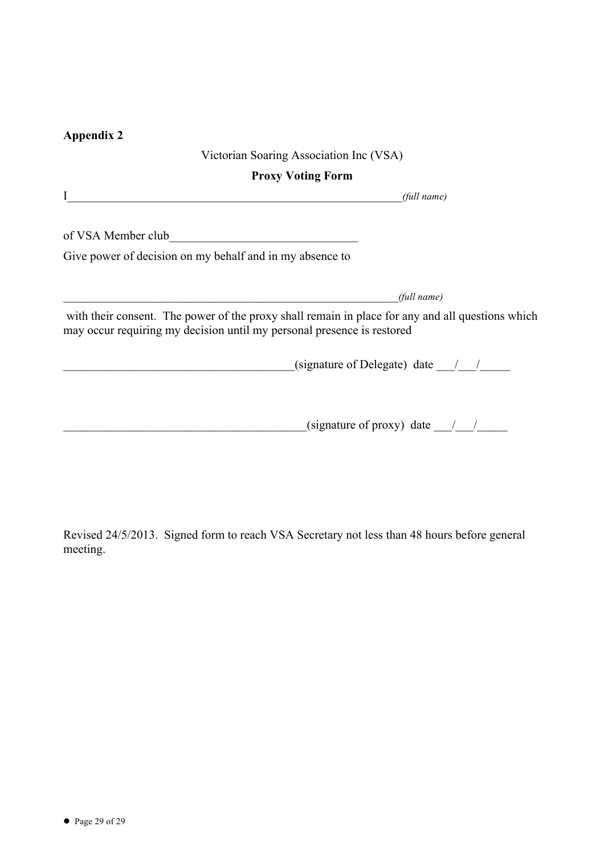# **Appendix 2**

# Victorian Soaring Association Inc (VSA) **Proxy Voting Form** I\_\_\_\_\_\_\_\_\_\_\_\_\_\_\_\_\_\_\_\_\_\_\_\_\_\_\_\_\_\_\_\_\_\_\_\_\_\_\_\_\_\_\_\_\_\_\_\_\_\_\_\_\_\_\_*(full name)* of VSA Member club Give power of decision on my behalf and in my absence to \_\_\_\_\_\_\_\_\_\_\_\_\_\_\_\_\_\_\_\_\_\_\_\_\_\_\_\_\_\_\_\_\_\_\_\_\_\_\_\_\_\_\_\_\_\_\_\_\_\_\_\_\_\_\_*(full name)* with their consent. The power of the proxy shall remain in place for any and all questions which may occur requiring my decision until my personal presence is restored  $\gamma$  (signature of Delegate) date  $\gamma$  $($ signature of proxy) date  $\frac{1}{2}$

Revised 24/5/2013. Signed form to reach VSA Secretary not less than 48 hours before general meeting.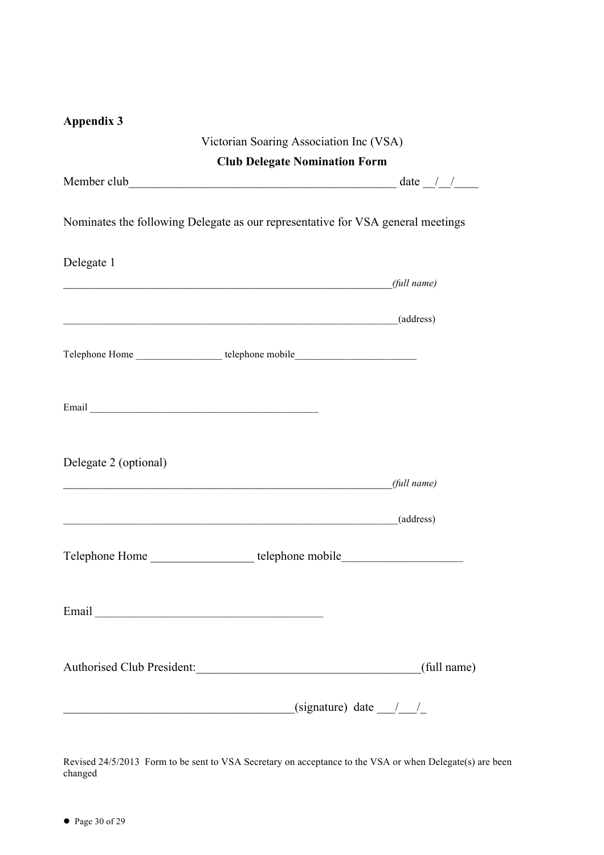|  |  | <b>Appendix 3</b> |  |
|--|--|-------------------|--|
|  |  |                   |  |

|                                                                                                                                                                                                                                | Victorian Soaring Association Inc (VSA) |
|--------------------------------------------------------------------------------------------------------------------------------------------------------------------------------------------------------------------------------|-----------------------------------------|
|                                                                                                                                                                                                                                | <b>Club Delegate Nomination Form</b>    |
|                                                                                                                                                                                                                                |                                         |
| Nominates the following Delegate as our representative for VSA general meetings                                                                                                                                                |                                         |
| Delegate 1                                                                                                                                                                                                                     |                                         |
| $\mu$ (full name)                                                                                                                                                                                                              |                                         |
| example and the contract of the contract of the contract of the contract of the contract of the contract of the contract of the contract of the contract of the contract of the contract of the contract of the contract of th |                                         |
| Telephone Home ______________________telephone mobile___________________________                                                                                                                                               |                                         |
|                                                                                                                                                                                                                                |                                         |
| Delegate 2 (optional)<br>$\int$ (full name)                                                                                                                                                                                    |                                         |
| $\qquad \qquad \text{(address)}$                                                                                                                                                                                               |                                         |
| Telephone Home _____________________telephone mobile____________________________                                                                                                                                               |                                         |
|                                                                                                                                                                                                                                |                                         |
| Authorised Club President:                                                                                                                                                                                                     | (full name)                             |
| <u> 1989 - Johann Stoff, deutscher Stoffen und der Stoffen und der Stoffen und der Stoffen und der Stoffen und der</u>                                                                                                         | (signature) date $\frac{1}{\sqrt{2}}$   |

Revised 24/5/2013 Form to be sent to VSA Secretary on acceptance to the VSA or when Delegate(s) are been changed